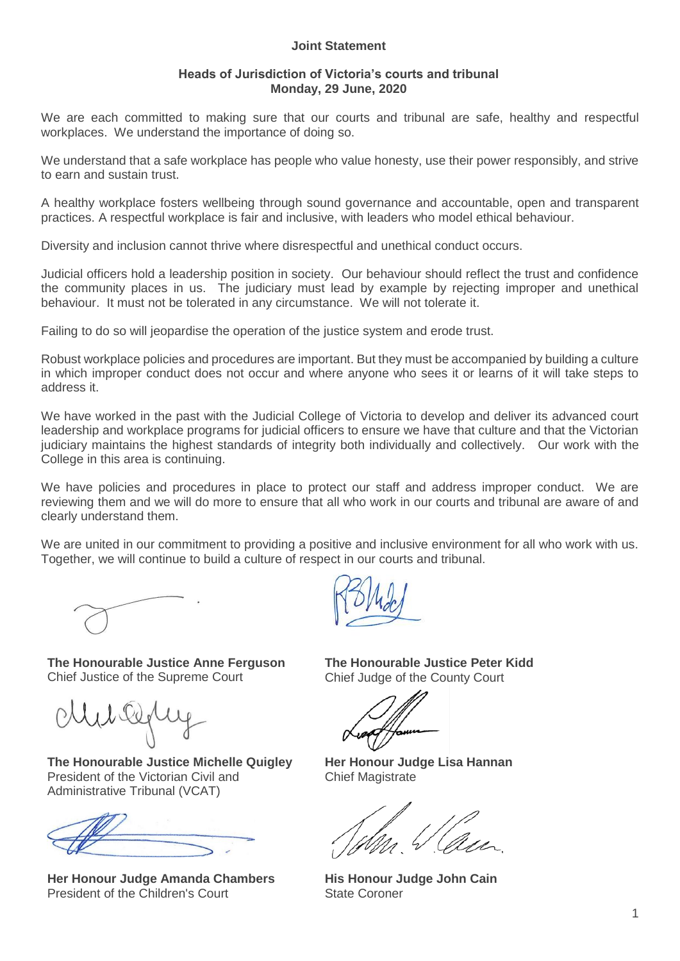## **Joint Statement**

## **Heads of Jurisdiction of Victoria's courts and tribunal Monday, 29 June, 2020**

We are each committed to making sure that our courts and tribunal are safe, healthy and respectful workplaces. We understand the importance of doing so.

We understand that a safe workplace has people who value honesty, use their power responsibly, and strive to earn and sustain trust.

A healthy workplace fosters wellbeing through sound governance and accountable, open and transparent practices. A respectful workplace is fair and inclusive, with leaders who model ethical behaviour.

Diversity and inclusion cannot thrive where disrespectful and unethical conduct occurs.

Judicial officers hold a leadership position in society. Our behaviour should reflect the trust and confidence the community places in us. The judiciary must lead by example by rejecting improper and unethical behaviour. It must not be tolerated in any circumstance. We will not tolerate it.

Failing to do so will jeopardise the operation of the justice system and erode trust.

Robust workplace policies and procedures are important. But they must be accompanied by building a culture in which improper conduct does not occur and where anyone who sees it or learns of it will take steps to address it.

We have worked in the past with the Judicial College of Victoria to develop and deliver its advanced court leadership and workplace programs for judicial officers to ensure we have that culture and that the Victorian judiciary maintains the highest standards of integrity both individually and collectively. Our work with the College in this area is continuing.

We have policies and procedures in place to protect our staff and address improper conduct. We are reviewing them and we will do more to ensure that all who work in our courts and tribunal are aware of and clearly understand them.

We are united in our commitment to providing a positive and inclusive environment for all who work with us. Together, we will continue to build a culture of respect in our courts and tribunal.

**The Honourable Justice Anne Ferguson** Chief Justice of the Supreme Court

**The Honourable Justice Michelle Quigley** President of the Victorian Civil and Administrative Tribunal (VCAT)



**Her Honour Judge Amanda Chambers** President of the Children's Court

**The Honourable Justice Peter Kidd** Chief Judge of the County Court

**Her Honour Judge Lisa Hannan** Chief Magistrate

**His Honour Judge John Cain** State Coroner